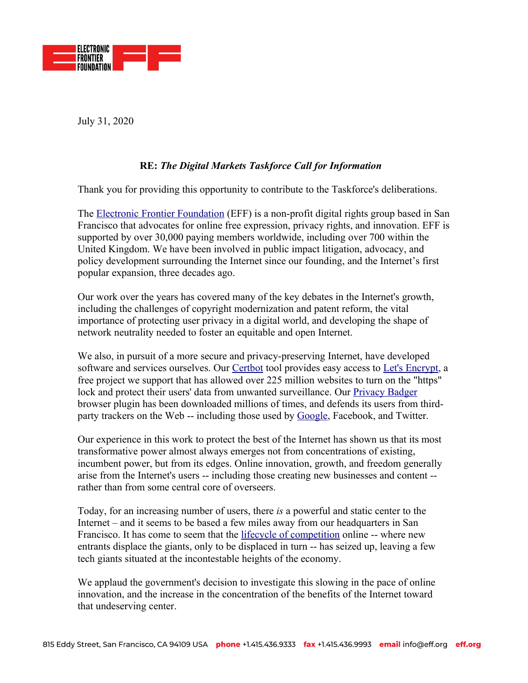

July 31, 2020

# **RE:** *The Digital Markets Taskforce Call for Information*

Thank you for providing this opportunity to contribute to the Taskforce's deliberations.

The **[Electronic Frontier Foundation](http://www.eff.org/)** (EFF) is a non-profit digital rights group based in San Francisco that advocates for online free expression, privacy rights, and innovation. EFF is supported by over 30,000 paying members worldwide, including over 700 within the United Kingdom. We have been involved in public impact litigation, advocacy, and policy development surrounding the Internet since our founding, and the Internet's first popular expansion, three decades ago.

Our work over the years has covered many of the key debates in the Internet's growth, including the challenges of copyright modernization and patent reform, the vital importance of protecting user privacy in a digital world, and developing the shape of network neutrality needed to foster an equitable and open Internet.

We also, in pursuit of a more secure and privacy-preserving Internet, have developed software and services ourselves. Our [Certbot](https://certbot.eff.org/about/) tool provides easy access to [Let's Encrypt](https://letsencrypt.org/), a free project we support that has allowed over 225 million websites to turn on the "https" lock and protect their users' data from unwanted surveillance. Our [Privacy Badger](https://privacybadger.org/) browser plugin has been downloaded millions of times, and defends its users from third-party trackers on the Web -- including those used by [Google](https://www.eff.org/deeplinks/2019/07/sharpening-our-claws-teaching-privacy-badger-fight-more-third-party-trackers), Facebook, and Twitter.

Our experience in this work to protect the best of the Internet has shown us that its most transformative power almost always emerges not from concentrations of existing, incumbent power, but from its edges. Online innovation, growth, and freedom generally arise from the Internet's users -- including those creating new businesses and content - rather than from some central core of overseers.

Today, for an increasing number of users, there *is* a powerful and static center to the Internet – and it seems to be based a few miles away from our headquarters in San Francisco. It has come to seem that the [lifecycle of competition](https://www.eff.org/document/life-cycle-competition) online -- where new entrants displace the giants, only to be displaced in turn -- has seized up, leaving a few tech giants situated at the incontestable heights of the economy.

We applaud the government's decision to investigate this slowing in the pace of online innovation, and the increase in the concentration of the benefits of the Internet toward that undeserving center.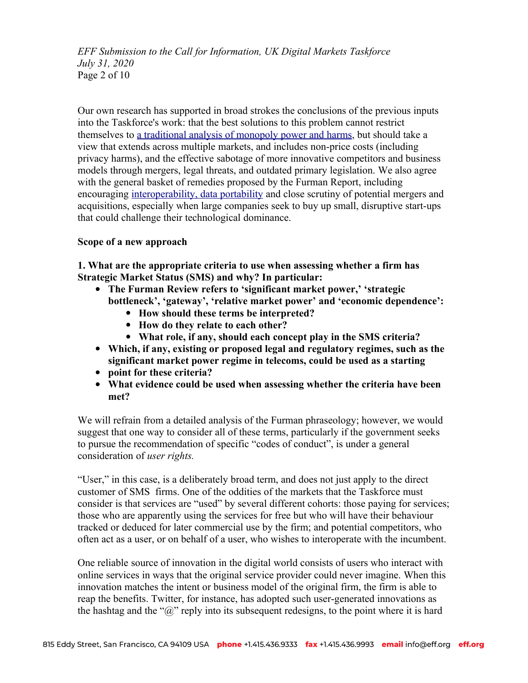*EFF Submission to the Call for Information, UK Digital Markets Taskforce July 31, 2020* Page 2 of 10

Our own research has supported in broad strokes the conclusions of the previous inputs into the Taskforce's work: that the best solutions to this problem cannot restrict themselves to [a traditional analysis of monopoly power and harms](https://www.eff.org/deeplinks/2019/02/antitrust-enforcement-needs-evolve-21st-century), but should take a view that extends across multiple markets, and includes non-price costs (including privacy harms), and the effective sabotage of more innovative competitors and business models through mergers, legal threats, and outdated primary legislation. We also agree with the general basket of remedies proposed by the Furman Report, including encouraging [interoperability, data portability](https://www.eff.org/deeplinks/2020/07/legislative-path-interoperable-internet) and close scrutiny of potential mergers and acquisitions, especially when large companies seek to buy up small, disruptive start-ups that could challenge their technological dominance.

#### **Scope of a new approach**

**1. What are the appropriate criteria to use when assessing whether a firm has Strategic Market Status (SMS) and why? In particular:**

- **The Furman Review refers to 'significant market power,' 'strategic bottleneck', 'gateway', 'relative market power' and 'economic dependence':**
	- **How should these terms be interpreted?**
	- **How do they relate to each other?**
	- **What role, if any, should each concept play in the SMS criteria?**
- **Which, if any, existing or proposed legal and regulatory regimes, such as the significant market power regime in telecoms, could be used as a starting**
- **point for these criteria?**
- **What evidence could be used when assessing whether the criteria have been met?**

We will refrain from a detailed analysis of the Furman phraseology; however, we would suggest that one way to consider all of these terms, particularly if the government seeks to pursue the recommendation of specific "codes of conduct", is under a general consideration of *user rights.*

"User," in this case, is a deliberately broad term, and does not just apply to the direct customer of SMS firms. One of the oddities of the markets that the Taskforce must consider is that services are "used" by several different cohorts: those paying for services; those who are apparently using the services for free but who will have their behaviour tracked or deduced for later commercial use by the firm; and potential competitors, who often act as a user, or on behalf of a user, who wishes to interoperate with the incumbent.

One reliable source of innovation in the digital world consists of users who interact with online services in ways that the original service provider could never imagine. When this innovation matches the intent or business model of the original firm, the firm is able to reap the benefits. Twitter, for instance, has adopted such user-generated innovations as the hashtag and the " $\hat{a}$ " reply into its subsequent redesigns, to the point where it is hard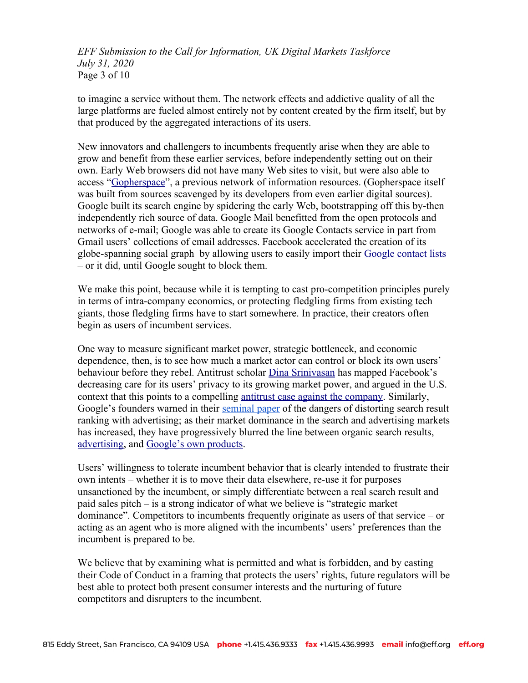*EFF Submission to the Call for Information, UK Digital Markets Taskforce July 31, 2020* Page 3 of 10

to imagine a service without them. The network effects and addictive quality of all the large platforms are fueled almost entirely not by content created by the firm itself, but by that produced by the aggregated interactions of its users.

New innovators and challengers to incumbents frequently arise when they are able to grow and benefit from these earlier services, before independently setting out on their own. Early Web browsers did not have many Web sites to visit, but were also able to access ["Gopherspace"](https://www.eff.org/deeplinks/2020/02/gopher-when-adversarial-interoperability-burrowed-under-gatekeepers-fortresses), a previous network of information resources. (Gopherspace itself was built from sources scavenged by its developers from even earlier digital sources). Google built its search engine by spidering the early Web, bootstrapping off this by-then independently rich source of data. Google Mail benefitted from the open protocols and networks of e-mail; Google was able to create its Google Contacts service in part from Gmail users' collections of email addresses. Facebook accelerated the creation of its globe-spanning social graph by allowing users to easily import their [Google contact lists](https://techcrunch.com/2010/11/04/facebook-google-contacts/) – or it did, until Google sought to block them.

We make this point, because while it is tempting to cast pro-competition principles purely in terms of intra-company economics, or protecting fledgling firms from existing tech giants, those fledgling firms have to start somewhere. In practice, their creators often begin as users of incumbent services.

One way to measure significant market power, strategic bottleneck, and economic dependence, then, is to see how much a market actor can control or block its own users' behaviour before they rebel. Antitrust scholar [Dina Srinivasan](https://www.nytimes.com/2019/05/28/opinion/privacy-antitrust-facebook.html) has mapped Facebook's decreasing care for its users' privacy to its growing market power, and argued in the U.S. context that this points to a compelling [antitrust case against the company](https://papers.ssrn.com/sol3/papers.cfm?abstract_id=3247362). Similarly, Google's founders warned in their [seminal paper](http://infolab.stanford.edu/~backrub/google.html) of the dangers of distorting search result ranking with advertising; as their market dominance in the search and advertising markets has increased, they have progressively blurred the line between organic search results, [advertising](https://searchengineland.com/search-ad-labeling-history-google-bing-254332), and [Google's own products.](https://themarkup.org/google-the-giant/2020/07/28/google-search-results-prioritize-google-products-over-competitors)

Users' willingness to tolerate incumbent behavior that is clearly intended to frustrate their own intents – whether it is to move their data elsewhere, re-use it for purposes unsanctioned by the incumbent, or simply differentiate between a real search result and paid sales pitch – is a strong indicator of what we believe is "strategic market dominance". Competitors to incumbents frequently originate as users of that service – or acting as an agent who is more aligned with the incumbents' users' preferences than the incumbent is prepared to be.

We believe that by examining what is permitted and what is forbidden, and by casting their Code of Conduct in a framing that protects the users' rights, future regulators will be best able to protect both present consumer interests and the nurturing of future competitors and disrupters to the incumbent.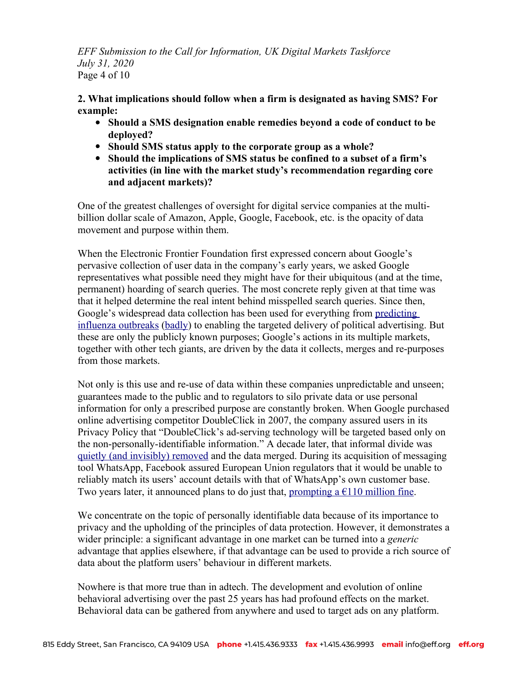*EFF Submission to the Call for Information, UK Digital Markets Taskforce July 31, 2020* Page 4 of 10

**2. What implications should follow when a firm is designated as having SMS? For example:**

- **Should a SMS designation enable remedies beyond a code of conduct to be deployed?**
- **Should SMS status apply to the corporate group as a whole?**
- **Should the implications of SMS status be confined to a subset of a firm's activities (in line with the market study's recommendation regarding core and adjacent markets)?**

One of the greatest challenges of oversight for digital service companies at the multibillion dollar scale of Amazon, Apple, Google, Facebook, etc. is the opacity of data movement and purpose within them.

When the Electronic Frontier Foundation first expressed concern about Google's pervasive collection of user data in the company's early years, we asked Google representatives what possible need they might have for their ubiquitous (and at the time, permanent) hoarding of search queries. The most concrete reply given at that time was that it helped determine the real intent behind misspelled search queries. Since then, Google's widespread data collection has been used for everything from predicting [influenza outbreaks](https://www.google.org/flutrends/about/) [\(badly](https://www.theguardian.com/technology/2014/mar/27/google-flu-trends-predicting-flu)) to enabling the targeted delivery of political advertising. But these are only the publicly known purposes; Google's actions in its multiple markets, together with other tech giants, are driven by the data it collects, merges and re-purposes from those markets.

Not only is this use and re-use of data within these companies unpredictable and unseen; guarantees made to the public and to regulators to silo private data or use personal information for only a prescribed purpose are constantly broken. When Google purchased online advertising competitor DoubleClick in 2007, the company assured users in its Privacy Policy that "DoubleClick's ad-serving technology will be targeted based only on the non-personally-identifiable information." A decade later, that informal divide was [quietly \(and invisibly\) removed](https://www.propublica.org/article/google-has-quietly-dropped-ban-on-personally-identifiable-web-tracking) and the data merged. During its acquisition of messaging tool WhatsApp, Facebook assured European Union regulators that it would be unable to reliably match its users' account details with that of WhatsApp's own customer base. Two years later, it announced plans to do just that, prompting a  $\epsilon$ 110 million fine.

We concentrate on the topic of personally identifiable data because of its importance to privacy and the upholding of the principles of data protection. However, it demonstrates a wider principle: a significant advantage in one market can be turned into a *generic* advantage that applies elsewhere, if that advantage can be used to provide a rich source of data about the platform users' behaviour in different markets.

Nowhere is that more true than in adtech. The development and evolution of online behavioral advertising over the past 25 years has had profound effects on the market. Behavioral data can be gathered from anywhere and used to target ads on any platform.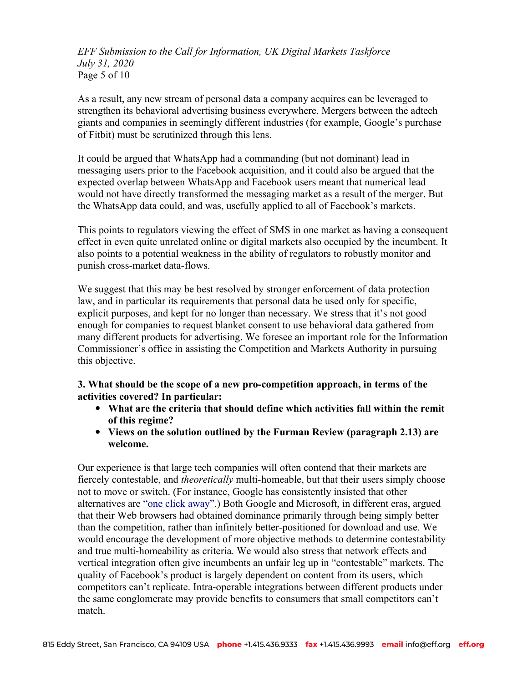*EFF Submission to the Call for Information, UK Digital Markets Taskforce July 31, 2020* Page 5 of 10

As a result, any new stream of personal data a company acquires can be leveraged to strengthen its behavioral advertising business everywhere. Mergers between the adtech giants and companies in seemingly different industries (for example, Google's purchase of Fitbit) must be scrutinized through this lens.

It could be argued that WhatsApp had a commanding (but not dominant) lead in messaging users prior to the Facebook acquisition, and it could also be argued that the expected overlap between WhatsApp and Facebook users meant that numerical lead would not have directly transformed the messaging market as a result of the merger. But the WhatsApp data could, and was, usefully applied to all of Facebook's markets.

This points to regulators viewing the effect of SMS in one market as having a consequent effect in even quite unrelated online or digital markets also occupied by the incumbent. It also points to a potential weakness in the ability of regulators to robustly monitor and punish cross-market data-flows.

We suggest that this may be best resolved by stronger enforcement of data protection law, and in particular its requirements that personal data be used only for specific, explicit purposes, and kept for no longer than necessary. We stress that it's not good enough for companies to request blanket consent to use behavioral data gathered from many different products for advertising. We foresee an important role for the Information Commissioner's office in assisting the Competition and Markets Authority in pursuing this objective.

### **3. What should be the scope of a new pro-competition approach, in terms of the activities covered? In particular:**

- **What are the criteria that should define which activities fall within the remit of this regime?**
- **Views on the solution outlined by the Furman Review (paragraph 2.13) are welcome.**

Our experience is that large tech companies will often contend that their markets are fiercely contestable, and *theoretically* multi-homeable, but that their users simply choose not to move or switch. (For instance, Google has consistently insisted that other alternatives are "one click away".) Both Google and Microsoft, in different eras, argued that their Web browsers had obtained dominance primarily through being simply better than the competition, rather than infinitely better-positioned for download and use. We would encourage the development of more objective methods to determine contestability and true multi-homeability as criteria. We would also stress that network effects and vertical integration often give incumbents an unfair leg up in "contestable" markets. The quality of Facebook's product is largely dependent on content from its users, which competitors can't replicate. Intra-operable integrations between different products under the same conglomerate may provide benefits to consumers that small competitors can't match.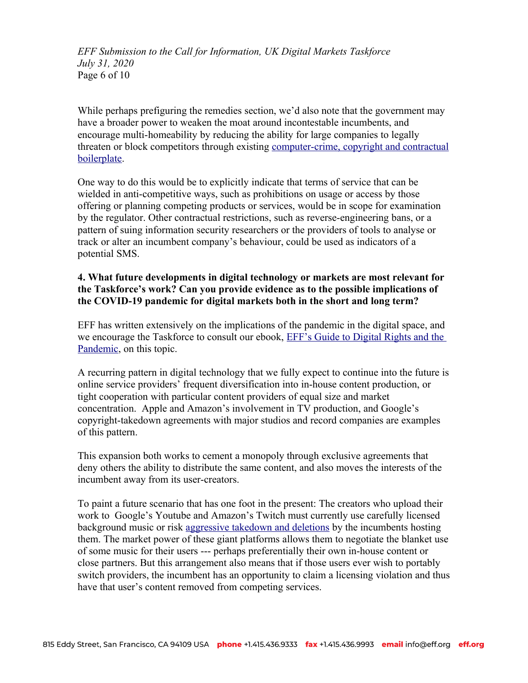*EFF Submission to the Call for Information, UK Digital Markets Taskforce July 31, 2020* Page 6 of 10

While perhaps prefiguring the remedies section, we'd also note that the government may have a broader power to weaken the moat around incontestable incumbents, and encourage multi-homeability by reducing the ability for large companies to legally threaten or block competitors through existing [computer-crime, copyright and contractual](https://www.eff.org/deeplinks/2018/12/want-more-competition-tech-get-rid-outdated-computer-copyright-and-contract-rules) [boilerplate](https://www.eff.org/deeplinks/2018/12/want-more-competition-tech-get-rid-outdated-computer-copyright-and-contract-rules).

One way to do this would be to explicitly indicate that terms of service that can be wielded in anti-competitive ways, such as prohibitions on usage or access by those offering or planning competing products or services, would be in scope for examination by the regulator. Other contractual restrictions, such as reverse-engineering bans, or a pattern of suing information security researchers or the providers of tools to analyse or track or alter an incumbent company's behaviour, could be used as indicators of a potential SMS.

# **4. What future developments in digital technology or markets are most relevant for the Taskforce's work? Can you provide evidence as to the possible implications of the COVID-19 pandemic for digital markets both in the short and long term?**

EFF has written extensively on the implications of the pandemic in the digital space, and we encourage the Taskforce to consult our ebook, EFF's Guide to Digital Rights and the [Pandemic](https://supporters.eff.org/donate/pandemicguide--DL), on this topic.

A recurring pattern in digital technology that we fully expect to continue into the future is online service providers' frequent diversification into in-house content production, or tight cooperation with particular content providers of equal size and market concentration. Apple and Amazon's involvement in TV production, and Google's copyright-takedown agreements with major studios and record companies are examples of this pattern.

This expansion both works to cement a monopoly through exclusive agreements that deny others the ability to distribute the same content, and also moves the interests of the incumbent away from its user-creators.

To paint a future scenario that has one foot in the present: The creators who upload their work to Google's Youtube and Amazon's Twitch must currently use carefully licensed background music or risk [aggressive takedown and deletions](https://www.forbes.com/sites/petersuciu/2020/07/14/social-medias-latest-copyright-crackdown/#759327f11da9) by the incumbents hosting them. The market power of these giant platforms allows them to negotiate the blanket use of some music for their users --- perhaps preferentially their own in-house content or close partners. But this arrangement also means that if those users ever wish to portably switch providers, the incumbent has an opportunity to claim a licensing violation and thus have that user's content removed from competing services.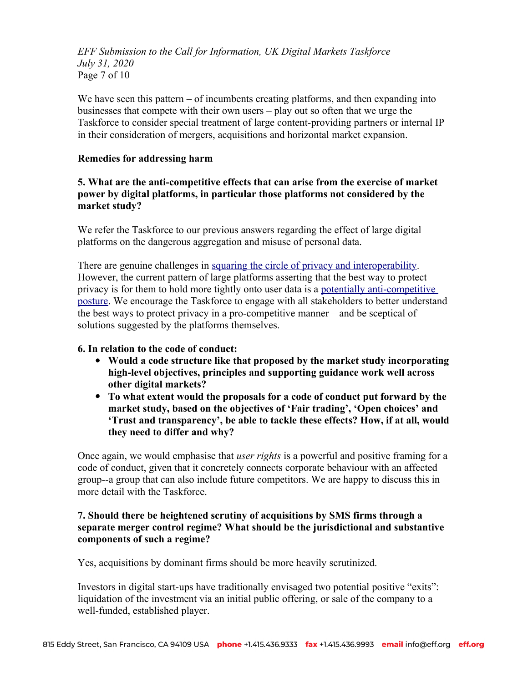*EFF Submission to the Call for Information, UK Digital Markets Taskforce July 31, 2020* Page 7 of 10

We have seen this pattern – of incumbents creating platforms, and then expanding into businesses that compete with their own users – play out so often that we urge the Taskforce to consider special treatment of large content-providing partners or internal IP in their consideration of mergers, acquisitions and horizontal market expansion.

#### **Remedies for addressing harm**

# **5. What are the anti-competitive effects that can arise from the exercise of market power by digital platforms, in particular those platforms not considered by the market study?**

We refer the Taskforce to our previous answers regarding the effect of large digital platforms on the dangerous aggregation and misuse of personal data.

There are genuine challenges in [squaring the circle of privacy and interoperability.](https://www.eff.org/deeplinks/2019/08/interoperability-and-privacy-squaring-circle) However, the current pattern of large platforms asserting that the best way to protect privacy is for them to hold more tightly onto user data is a [potentially anti-competitive](https://www.eff.org/deeplinks/2018/04/too-big-let-others-fail-us-how-mark-zuckerberg-blamed-facebooks-problems-openness)  [posture](https://www.eff.org/deeplinks/2018/04/too-big-let-others-fail-us-how-mark-zuckerberg-blamed-facebooks-problems-openness). We encourage the Taskforce to engage with all stakeholders to better understand the best ways to protect privacy in a pro-competitive manner – and be sceptical of solutions suggested by the platforms themselves.

#### **6. In relation to the code of conduct:**

- **Would a code structure like that proposed by the market study incorporating high-level objectives, principles and supporting guidance work well across other digital markets?**
- **To what extent would the proposals for a code of conduct put forward by the market study, based on the objectives of 'Fair trading', 'Open choices' and 'Trust and transparency', be able to tackle these effects? How, if at all, would they need to differ and why?**

Once again, we would emphasise that *user rights* is a powerful and positive framing for a code of conduct, given that it concretely connects corporate behaviour with an affected group--a group that can also include future competitors. We are happy to discuss this in more detail with the Taskforce.

# **7. Should there be heightened scrutiny of acquisitions by SMS firms through a separate merger control regime? What should be the jurisdictional and substantive components of such a regime?**

Yes, acquisitions by dominant firms should be more heavily scrutinized.

Investors in digital start-ups have traditionally envisaged two potential positive "exits": liquidation of the investment via an initial public offering, or sale of the company to a well-funded, established player.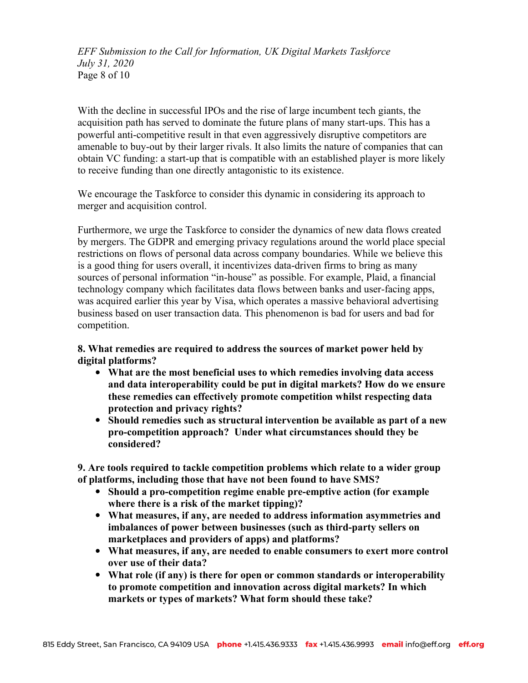*EFF Submission to the Call for Information, UK Digital Markets Taskforce July 31, 2020* Page 8 of 10

With the decline in successful IPOs and the rise of large incumbent tech giants, the acquisition path has served to dominate the future plans of many start-ups. This has a powerful anti-competitive result in that even aggressively disruptive competitors are amenable to buy-out by their larger rivals. It also limits the nature of companies that can obtain VC funding: a start-up that is compatible with an established player is more likely to receive funding than one directly antagonistic to its existence.

We encourage the Taskforce to consider this dynamic in considering its approach to merger and acquisition control.

Furthermore, we urge the Taskforce to consider the dynamics of new data flows created by mergers. The GDPR and emerging privacy regulations around the world place special restrictions on flows of personal data across company boundaries. While we believe this is a good thing for users overall, it incentivizes data-driven firms to bring as many sources of personal information "in-house" as possible. For example, Plaid, a financial technology company which facilitates data flows between banks and user-facing apps, was acquired earlier this year by Visa, which operates a massive behavioral advertising business based on user transaction data. This phenomenon is bad for users and bad for competition.

**8. What remedies are required to address the sources of market power held by digital platforms?**

- **What are the most beneficial uses to which remedies involving data access and data interoperability could be put in digital markets? How do we ensure these remedies can effectively promote competition whilst respecting data protection and privacy rights?**
- **Should remedies such as structural intervention be available as part of a new pro-competition approach? Under what circumstances should they be considered?**

**9. Are tools required to tackle competition problems which relate to a wider group of platforms, including those that have not been found to have SMS?**

- **Should a pro-competition regime enable pre-emptive action (for example where there is a risk of the market tipping)?**
- **What measures, if any, are needed to address information asymmetries and imbalances of power between businesses (such as third-party sellers on marketplaces and providers of apps) and platforms?**
- **What measures, if any, are needed to enable consumers to exert more control over use of their data?**
- **What role (if any) is there for open or common standards or interoperability to promote competition and innovation across digital markets? In which markets or types of markets? What form should these take?**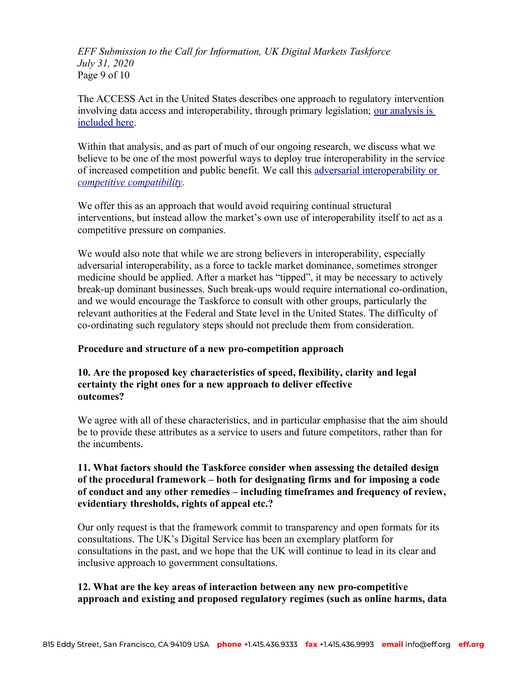*EFF Submission to the Call for Information, UK Digital Markets Taskforce July 31, 2020* Page 9 of 10

The ACCESS Act in the United States describes one approach to regulatory intervention involving data access and interoperability, through primary legislation; [our analysis is](https://www.eff.org/deeplinks/2020/07/legislative-path-interoperable-internet)  [included here](https://www.eff.org/deeplinks/2020/07/legislative-path-interoperable-internet).

Within that analysis, and as part of much of our ongoing research, we discuss what we believe to be one of the most powerful ways to deploy true interoperability in the service of increased competition and public benefit. We call this [adversarial interoperability or](https://www.eff.org/deeplinks/2019/10/adversarial-interoperability)  *[competitive compatibility.](https://www.eff.org/deeplinks/2019/10/adversarial-interoperability)*

We offer this as an approach that would avoid requiring continual structural interventions, but instead allow the market's own use of interoperability itself to act as a competitive pressure on companies.

We would also note that while we are strong believers in interoperability, especially adversarial interoperability, as a force to tackle market dominance, sometimes stronger medicine should be applied. After a market has "tipped", it may be necessary to actively break-up dominant businesses. Such break-ups would require international co-ordination, and we would encourage the Taskforce to consult with other groups, particularly the relevant authorities at the Federal and State level in the United States. The difficulty of co-ordinating such regulatory steps should not preclude them from consideration.

### **Procedure and structure of a new pro-competition approach**

# **10. Are the proposed key characteristics of speed, flexibility, clarity and legal certainty the right ones for a new approach to deliver effective outcomes?**

We agree with all of these characteristics, and in particular emphasise that the aim should be to provide these attributes as a service to users and future competitors, rather than for the incumbents.

# **11. What factors should the Taskforce consider when assessing the detailed design of the procedural framework – both for designating firms and for imposing a code of conduct and any other remedies – including timeframes and frequency of review, evidentiary thresholds, rights of appeal etc.?**

Our only request is that the framework commit to transparency and open formats for its consultations. The UK's Digital Service has been an exemplary platform for consultations in the past, and we hope that the UK will continue to lead in its clear and inclusive approach to government consultations.

# **12. What are the key areas of interaction between any new pro-competitive approach and existing and proposed regulatory regimes (such as online harms, data**